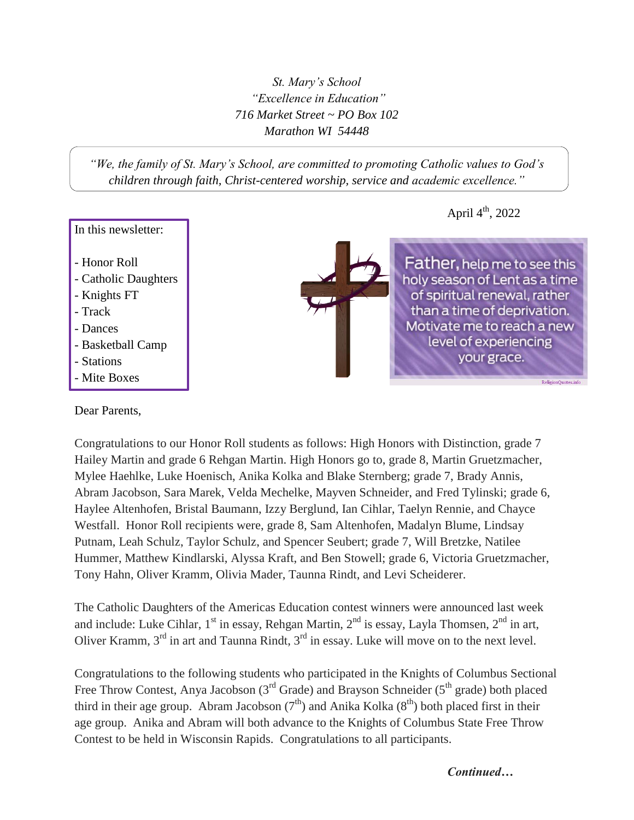*St. Mary's School "Excellence in Education" 716 Market Street ~ PO Box 102 Marathon WI 54448*

*"We, the family of St. Mary's School, are committed to promoting Catholic values to God's children through faith, Christ-centered worship, service and academic excellence."*

## In this newsletter:

- Honor Roll
- Catholic Daughters
- Knights FT
- Track
- Dances
- Basketball Camp
- Stations
- Mite Boxes

**Father, help me to see this** holy season of Lent as a time of spiritual renewal, rather than a time of deprivation. Motivate me to reach a new level of experiencing your grace.

ReligionQuotes.in

April  $4<sup>th</sup>$ , 2022

## Dear Parents,

Congratulations to our Honor Roll students as follows: High Honors with Distinction, grade 7 Hailey Martin and grade 6 Rehgan Martin. High Honors go to, grade 8, Martin Gruetzmacher, Mylee Haehlke, Luke Hoenisch, Anika Kolka and Blake Sternberg; grade 7, Brady Annis, Abram Jacobson, Sara Marek, Velda Mechelke, Mayven Schneider, and Fred Tylinski; grade 6, Haylee Altenhofen, Bristal Baumann, Izzy Berglund, Ian Cihlar, Taelyn Rennie, and Chayce Westfall. Honor Roll recipients were, grade 8, Sam Altenhofen, Madalyn Blume, Lindsay Putnam, Leah Schulz, Taylor Schulz, and Spencer Seubert; grade 7, Will Bretzke, Natilee Hummer, Matthew Kindlarski, Alyssa Kraft, and Ben Stowell; grade 6, Victoria Gruetzmacher, Tony Hahn, Oliver Kramm, Olivia Mader, Taunna Rindt, and Levi Scheiderer.

The Catholic Daughters of the Americas Education contest winners were announced last week and include: Luke Cihlar,  $1<sup>st</sup>$  in essay, Rehgan Martin,  $2<sup>nd</sup>$  is essay, Layla Thomsen,  $2<sup>nd</sup>$  in art, Oliver Kramm, 3<sup>rd</sup> in art and Taunna Rindt, 3<sup>rd</sup> in essay. Luke will move on to the next level.

Congratulations to the following students who participated in the Knights of Columbus Sectional Free Throw Contest, Anya Jacobson ( $3<sup>rd</sup>$  Grade) and Brayson Schneider ( $5<sup>th</sup>$  grade) both placed third in their age group. Abram Jacobson  $(7<sup>th</sup>)$  and Anika Kolka  $(8<sup>th</sup>)$  both placed first in their age group. Anika and Abram will both advance to the Knights of Columbus State Free Throw Contest to be held in Wisconsin Rapids. Congratulations to all participants.

*Continued…*